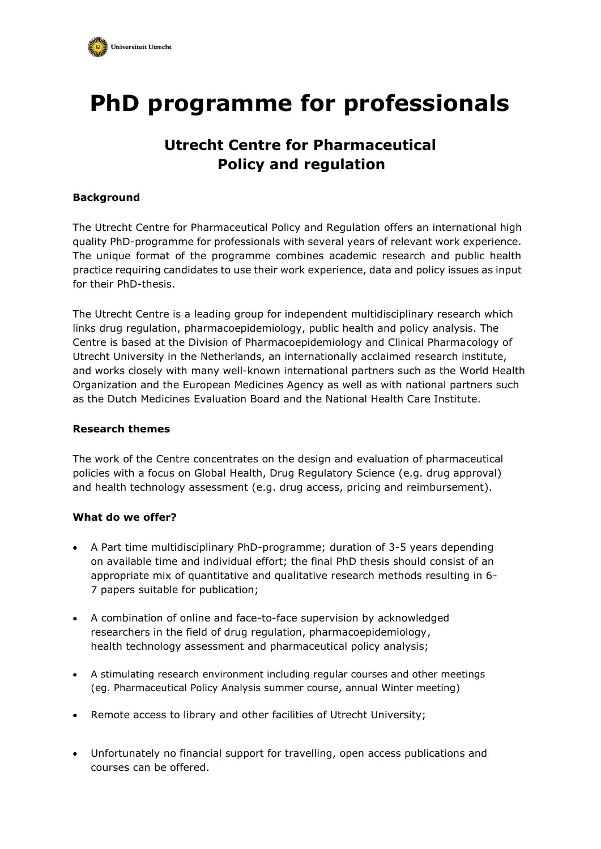

# **PhD programme for professionals**

## **Utrecht Centre for Pharmaceutical Policy and regulation**

#### **Background**

The Utrecht Centre for Pharmaceutical Policy and Regulation offers an international high quality PhD-programme for professionals with several years of relevant work experience. The unique format of the programme combines academic research and public health practice requiring candidates to use their work experience, data and policy issues as input for their PhD-thesis.

The Utrecht Centre is a leading group for independent multidisciplinary research which links drug regulation, pharmacoepidemiology, public health and policy analysis. The Centre is based at the Division of Pharmacoepidemiology and Clinical Pharmacology of Utrecht University in the Netherlands, an internationally acclaimed research institute, and works closely with many well-known international partners such as the World Health Organization and the European Medicines Agency as well as with national partners such as the Dutch Medicines Evaluation Board and the National Health Care Institute.

#### **Research themes**

The work of the Centre concentrates on the design and evaluation of pharmaceutical policies with a focus on Global Health, Drug Regulatory Science (e.g. drug approval) and health technology assessment (e.g. drug access, pricing and reimbursement).

#### **What do we offer?**

- A Part time multidisciplinary PhD-programme; duration of 3-5 years depending on available time and individual effort; the final PhD thesis should consist of an appropriate mix of quantitative and qualitative research methods resulting in 6- 7 papers suitable for publication;
- A combination of online and face-to-face supervision by acknowledged researchers in the field of drug regulation, pharmacoepidemiology, health technology assessment and pharmaceutical policy analysis;
- A stimulating research environment including regular courses and other meetings (eg. Pharmaceutical Policy Analysis summer course, annual Winter meeting)
- Remote access to library and other facilities of Utrecht University;
- Unfortunately no financial support for travelling, open access publications and courses can be offered.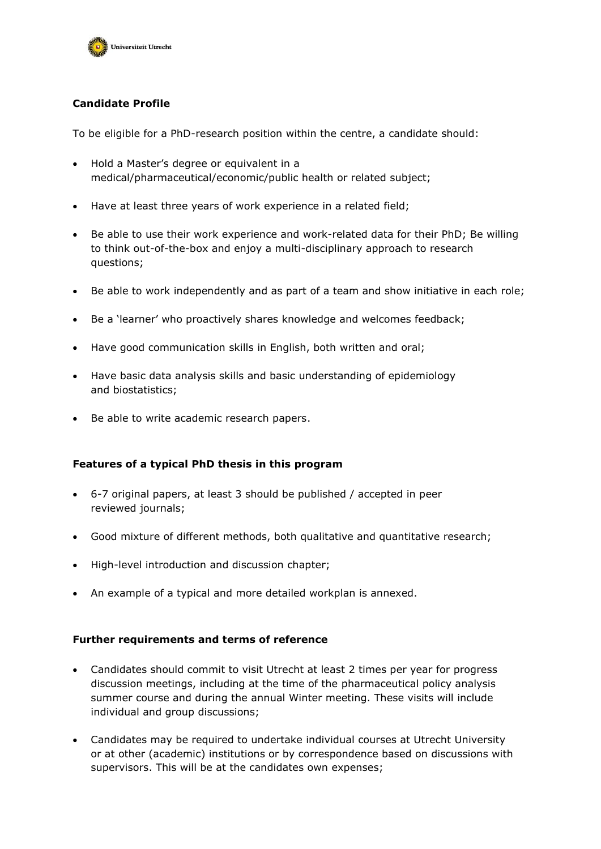

### **Candidate Profile**

To be eligible for a PhD-research position within the centre, a candidate should:

- Hold a Master's degree or equivalent in a medical/pharmaceutical/economic/public health or related subject;
- Have at least three years of work experience in a related field;
- Be able to use their work experience and work-related data for their PhD; Be willing to think out-of-the-box and enjoy a multi-disciplinary approach to research questions;
- Be able to work independently and as part of a team and show initiative in each role;
- Be a 'learner' who proactively shares knowledge and welcomes feedback;
- Have good communication skills in English, both written and oral;
- Have basic data analysis skills and basic understanding of epidemiology and biostatistics;
- Be able to write academic research papers.

#### **Features of a typical PhD thesis in this program**

- 6-7 original papers, at least 3 should be published / accepted in peer reviewed journals;
- Good mixture of different methods, both qualitative and quantitative research;
- High-level introduction and discussion chapter;
- An example of a typical and more detailed workplan is annexed.

#### **Further requirements and terms of reference**

- Candidates should commit to visit Utrecht at least 2 times per year for progress discussion meetings, including at the time of the pharmaceutical policy analysis summer course and during the annual Winter meeting. These visits will include individual and group discussions;
- Candidates may be required to undertake individual courses at Utrecht University or at other (academic) institutions or by correspondence based on discussions with supervisors. This will be at the candidates own expenses;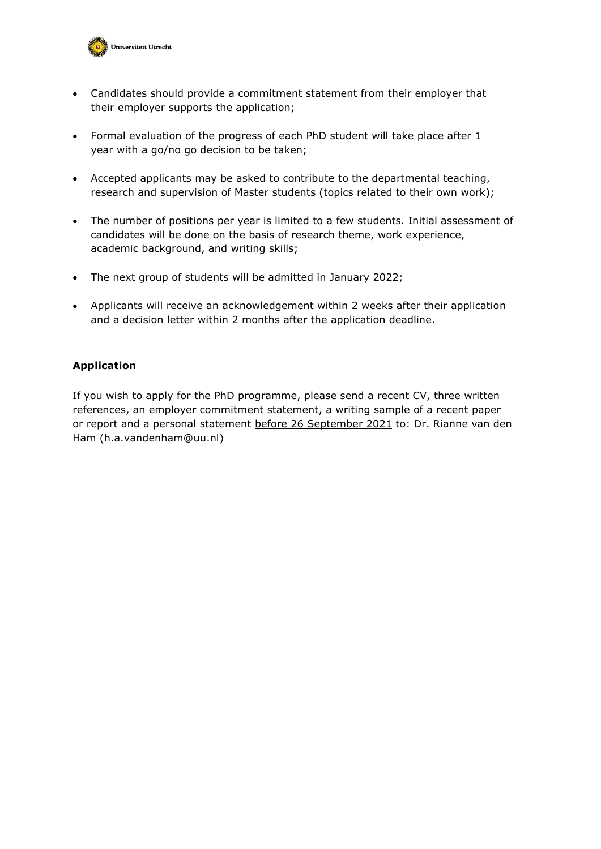

- Candidates should provide a commitment statement from their employer that their employer supports the application;
- Formal evaluation of the progress of each PhD student will take place after 1 year with a go/no go decision to be taken;
- Accepted applicants may be asked to contribute to the departmental teaching, research and supervision of Master students (topics related to their own work);
- The number of positions per year is limited to a few students. Initial assessment of candidates will be done on the basis of research theme, work experience, academic background, and writing skills;
- The next group of students will be admitted in January 2022;
- Applicants will receive an acknowledgement within 2 weeks after their application and a decision letter within 2 months after the application deadline.

#### **Application**

If you wish to apply for the PhD programme, please send a recent CV, three written references, an employer commitment statement, a writing sample of a recent paper or report and a personal statement before 26 September 2021 to: Dr. Rianne van den Ham (h.a.vandenham@uu.nl)